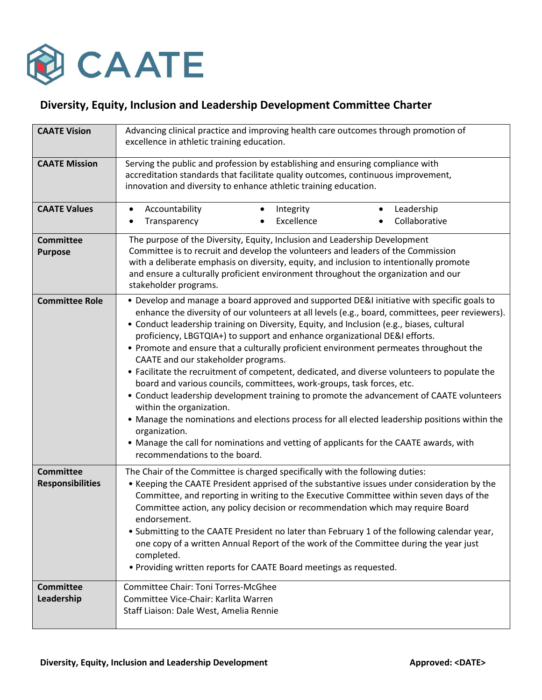

## **Diversity, Equity, Inclusion and Leadership Development Committee Charter**

| <b>CAATE Vision</b>                         | Advancing clinical practice and improving health care outcomes through promotion of<br>excellence in athletic training education.                                                                                                                                                                                                                                                                                                                                                                                                                                                                                                                                                                                                                                                                                                                                                                                                                                                                                                                          |
|---------------------------------------------|------------------------------------------------------------------------------------------------------------------------------------------------------------------------------------------------------------------------------------------------------------------------------------------------------------------------------------------------------------------------------------------------------------------------------------------------------------------------------------------------------------------------------------------------------------------------------------------------------------------------------------------------------------------------------------------------------------------------------------------------------------------------------------------------------------------------------------------------------------------------------------------------------------------------------------------------------------------------------------------------------------------------------------------------------------|
| <b>CAATE Mission</b>                        | Serving the public and profession by establishing and ensuring compliance with<br>accreditation standards that facilitate quality outcomes, continuous improvement,<br>innovation and diversity to enhance athletic training education.                                                                                                                                                                                                                                                                                                                                                                                                                                                                                                                                                                                                                                                                                                                                                                                                                    |
| <b>CAATE Values</b>                         | Accountability<br>Integrity<br>Leadership<br>$\bullet$<br>$\bullet$<br>Excellence<br>Collaborative<br>Transparency<br>$\bullet$                                                                                                                                                                                                                                                                                                                                                                                                                                                                                                                                                                                                                                                                                                                                                                                                                                                                                                                            |
| <b>Committee</b><br><b>Purpose</b>          | The purpose of the Diversity, Equity, Inclusion and Leadership Development<br>Committee is to recruit and develop the volunteers and leaders of the Commission<br>with a deliberate emphasis on diversity, equity, and inclusion to intentionally promote<br>and ensure a culturally proficient environment throughout the organization and our<br>stakeholder programs.                                                                                                                                                                                                                                                                                                                                                                                                                                                                                                                                                                                                                                                                                   |
| <b>Committee Role</b>                       | • Develop and manage a board approved and supported DE&I initiative with specific goals to<br>enhance the diversity of our volunteers at all levels (e.g., board, committees, peer reviewers).<br>• Conduct leadership training on Diversity, Equity, and Inclusion (e.g., biases, cultural<br>proficiency, LBGTQIA+) to support and enhance organizational DE&I efforts.<br>• Promote and ensure that a culturally proficient environment permeates throughout the<br>CAATE and our stakeholder programs.<br>• Facilitate the recruitment of competent, dedicated, and diverse volunteers to populate the<br>board and various councils, committees, work-groups, task forces, etc.<br>• Conduct leadership development training to promote the advancement of CAATE volunteers<br>within the organization.<br>• Manage the nominations and elections process for all elected leadership positions within the<br>organization.<br>• Manage the call for nominations and vetting of applicants for the CAATE awards, with<br>recommendations to the board. |
| <b>Committee</b><br><b>Responsibilities</b> | The Chair of the Committee is charged specifically with the following duties:<br>• Keeping the CAATE President apprised of the substantive issues under consideration by the<br>Committee, and reporting in writing to the Executive Committee within seven days of the<br>Committee action, any policy decision or recommendation which may require Board<br>endorsement.<br>. Submitting to the CAATE President no later than February 1 of the following calendar year,<br>one copy of a written Annual Report of the work of the Committee during the year just<br>completed.<br>. Providing written reports for CAATE Board meetings as requested.                                                                                                                                                                                                                                                                                                                                                                                                    |
| <b>Committee</b><br>Leadership              | Committee Chair: Toni Torres-McGhee<br>Committee Vice-Chair: Karlita Warren<br>Staff Liaison: Dale West, Amelia Rennie                                                                                                                                                                                                                                                                                                                                                                                                                                                                                                                                                                                                                                                                                                                                                                                                                                                                                                                                     |